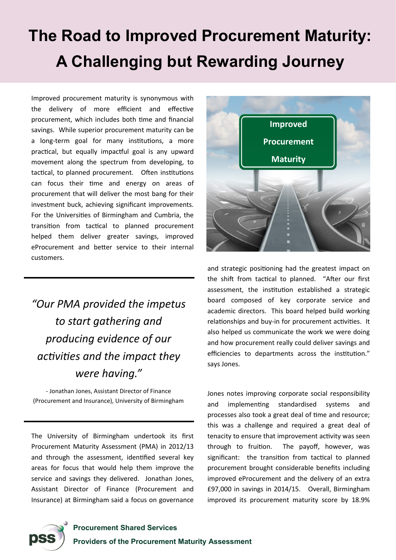## **The Road to Improved Procurement Maturity: A Challenging but Rewarding Journey**

Improved procurement maturity is synonymous with the delivery of more efficient and effective procurement, which includes both time and financial savings. While superior procurement maturity can be a long-term goal for many institutions, a more practical, but equally impactful goal is any upward movement along the spectrum from developing, to tactical, to planned procurement. Often institutions can focus their time and energy on areas of procurement that will deliver the most bang for their investment buck, achieving significant improvements. For the Universities of Birmingham and Cumbria, the transition from tactical to planned procurement helped them deliver greater savings, improved eProcurement and better service to their internal customers.

## *"Our PMA provided the impetus to start gathering and producing evidence of our activities and the impact they were having."*

- Jonathan Jones, Assistant Director of Finance (Procurement and Insurance), University of Birmingham

The University of Birmingham undertook its first Procurement Maturity Assessment (PMA) in 2012/13 and through the assessment, identified several key areas for focus that would help them improve the service and savings they delivered. Jonathan Jones, Assistant Director of Finance (Procurement and Insurance) at Birmingham said a focus on governance



and strategic positioning had the greatest impact on the shift from tactical to planned. "After our first assessment, the institution established a strategic board composed of key corporate service and academic directors. This board helped build working relationships and buy-in for procurement activities. It also helped us communicate the work we were doing and how procurement really could deliver savings and efficiencies to departments across the institution." says Jones.

Jones notes improving corporate social responsibility and implementing standardised systems and processes also took a great deal of time and resource; this was a challenge and required a great deal of tenacity to ensure that improvement activity was seen through to fruition. The payoff, however, was significant: the transition from tactical to planned procurement brought considerable benefits including improved eProcurement and the delivery of an extra £97,000 in savings in 2014/15. Overall, Birmingham improved its procurement maturity score by 18.9%